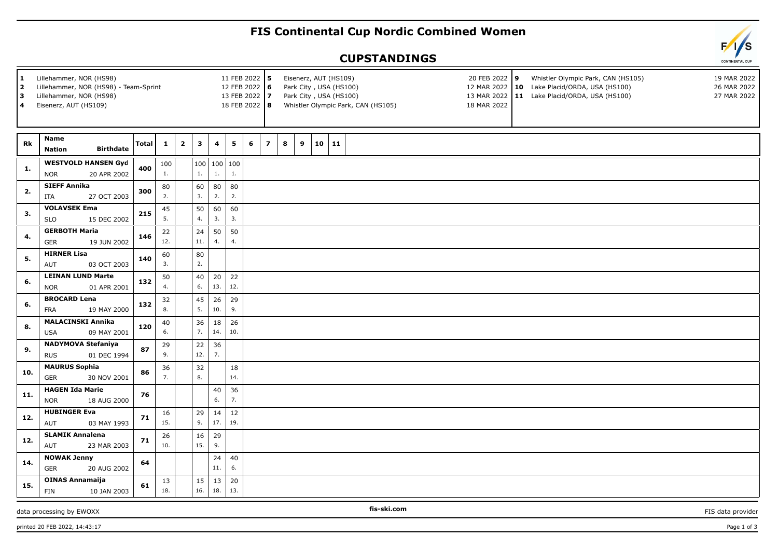## **FIS Continental Cup Nordic Combined Women**

## **CUPSTANDINGS**



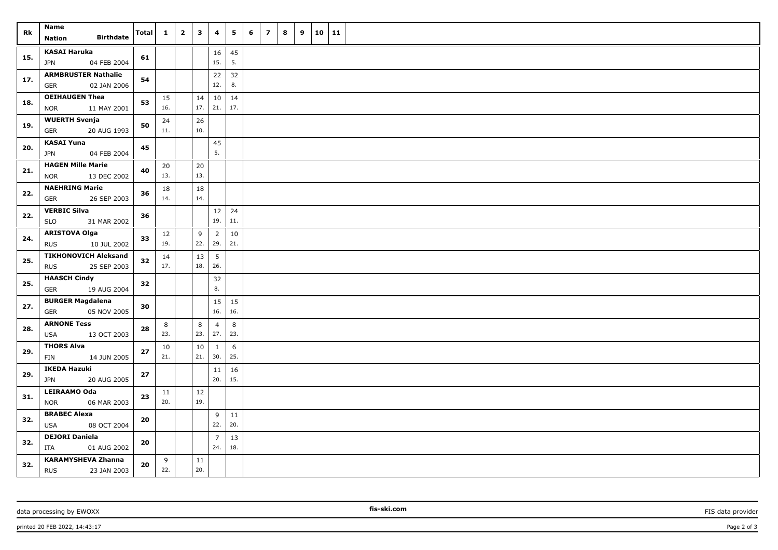| Rk  | Name<br><b>Birthdate</b><br><b>Nation</b>                | <b>Total</b> | $\mathbf{1}$ | $\overline{\mathbf{2}}$ | $\mathbf{3}$  | 4                     | 5         | 6 | $\overline{z}$ | 8 | 9 | 10   11 |  |
|-----|----------------------------------------------------------|--------------|--------------|-------------------------|---------------|-----------------------|-----------|---|----------------|---|---|---------|--|
| 15. | <b>KASAI Haruka</b><br>04 FEB 2004<br>JPN                | 61           |              |                         |               | 16<br>15.             | 45<br>5.  |   |                |   |   |         |  |
| 17. | <b>ARMBRUSTER Nathalie</b><br>02 JAN 2006<br><b>GER</b>  | 54           |              |                         |               | 22<br>12.             | 32<br>8.  |   |                |   |   |         |  |
| 18. | <b>OEIHAUGEN Thea</b><br><b>NOR</b><br>11 MAY 2001       | 53           | 15<br>16.    |                         | 14<br>17.     | 10<br>21.             | 14<br>17. |   |                |   |   |         |  |
| 19. | <b>WUERTH Svenja</b><br>GER<br>20 AUG 1993               | 50           | 24<br>11.    |                         | 26<br>10.     |                       |           |   |                |   |   |         |  |
| 20. | <b>KASAI Yuna</b><br>04 FEB 2004<br><b>JPN</b>           | 45           |              |                         |               | 45<br>5.              |           |   |                |   |   |         |  |
| 21. | <b>HAGEN Mille Marie</b><br>13 DEC 2002<br><b>NOR</b>    | 40           | 20<br>13.    |                         | 20<br>13.     |                       |           |   |                |   |   |         |  |
| 22. | <b>NAEHRING Marie</b><br>26 SEP 2003<br><b>GER</b>       | 36           | 18<br>14.    |                         | 18<br>14.     |                       |           |   |                |   |   |         |  |
| 22. | <b>VERBIC Silva</b><br><b>SLO</b><br>31 MAR 2002         | 36           |              |                         |               | 12<br>19.             | 24<br>11. |   |                |   |   |         |  |
| 24. | <b>ARISTOVA Olga</b><br>10 JUL 2002<br><b>RUS</b>        | 33           | 12<br>19.    |                         | 9<br>22.      | $\overline{2}$<br>29. | 10<br>21. |   |                |   |   |         |  |
| 25. | <b>TIKHONOVICH Aleksand</b><br><b>RUS</b><br>25 SEP 2003 | 32           | 14<br>17.    |                         | 13<br>18.     | 5<br>26.              |           |   |                |   |   |         |  |
| 25. | <b>HAASCH Cindy</b><br>GER<br>19 AUG 2004                | 32           |              |                         |               | 32<br>8.              |           |   |                |   |   |         |  |
| 27. | <b>BURGER Magdalena</b><br>05 NOV 2005<br>GER            | 30           |              |                         |               | 15<br>16.             | 15<br>16. |   |                |   |   |         |  |
| 28. | <b>ARNONE Tess</b><br>13 OCT 2003<br>USA                 | 28           | 8<br>23.     |                         | 8<br>23.      | $\overline{4}$<br>27. | 8<br>23.  |   |                |   |   |         |  |
| 29. | <b>THORS Alva</b><br>FIN<br>14 JUN 2005                  | 27           | 10<br>21.    |                         | $10\,$<br>21. | $\mathbf{1}$<br>30.   | 6<br>25.  |   |                |   |   |         |  |
| 29. | <b>IKEDA Hazuki</b><br>20 AUG 2005<br>JPN                | 27           |              |                         |               | 11<br>20.             | 16<br>15. |   |                |   |   |         |  |
| 31. | LEIRAAMO Oda<br><b>NOR</b><br>06 MAR 2003                | 23           | 11<br>20.    |                         | $12\,$<br>19. |                       |           |   |                |   |   |         |  |
| 32. | <b>BRABEC Alexa</b><br><b>USA</b><br>08 OCT 2004         | 20           |              |                         |               | 9<br>22.              | 11<br>20. |   |                |   |   |         |  |
| 32. | <b>DEJORI Daniela</b><br>ITA<br>01 AUG 2002              | 20           |              |                         |               | $\overline{7}$<br>24. | 13<br>18. |   |                |   |   |         |  |
| 32. | <b>KARAMYSHEVA Zhanna</b><br>23 JAN 2003<br><b>RUS</b>   | 20           | 9<br>22.     |                         | 11<br>20.     |                       |           |   |                |   |   |         |  |

data processing by EWOXX **Fission FIS data provider FIS data provider FIS data provider FIS data provider**